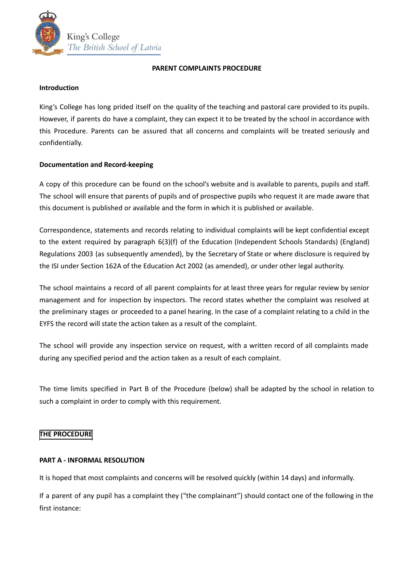

#### **PARENT COMPLAINTS PROCEDURE**

## **Introduction**

King's College has long prided itself on the quality of the teaching and pastoral care provided to its pupils. However, if parents do have a complaint, they can expect it to be treated by the school in accordance with this Procedure. Parents can be assured that all concerns and complaints will be treated seriously and confidentially.

# **Documentation and Record‐keeping**

A copy of this procedure can be found on the school's website and is available to parents, pupils and staff. The school will ensure that parents of pupils and of prospective pupils who request it are made aware that this document is published or available and the form in which it is published or available.

Correspondence, statements and records relating to individual complaints will be kept confidential except to the extent required by paragraph 6(3)(f) of the Education (Independent Schools Standards) (England) Regulations 2003 (as subsequently amended), by the Secretary of State or where disclosure is required by the ISI under Section 162A of the Education Act 2002 (as amended), or under other legal authority.

The school maintains a record of all parent complaints for at least three years for regular review by senior management and for inspection by inspectors. The record states whether the complaint was resolved at the preliminary stages or proceeded to a panel hearing. In the case of a complaint relating to a child in the EYFS the record will state the action taken as a result of the complaint.

The school will provide any inspection service on request, with a written record of all complaints made during any specified period and the action taken as a result of each complaint.

The time limits specified in Part B of the Procedure (below) shall be adapted by the school in relation to such a complaint in order to comply with this requirement.

# **THE PROCEDURE**

# **PART A ‐ INFORMAL RESOLUTION**

It is hoped that most complaints and concerns will be resolved quickly (within 14 days) and informally.

If a parent of any pupil has a complaint they ("the complainant") should contact one of the following in the first instance: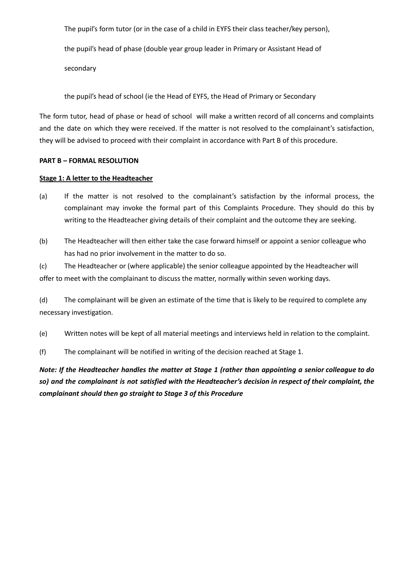The pupil's form tutor (or in the case of a child in EYFS their class teacher/key person),

the pupil's head of phase (double year group leader in Primary or Assistant Head of

secondary

the pupil's head of school (ie the Head of EYFS, the Head of Primary or Secondary

The form tutor, head of phase or head of school will make a written record of all concerns and complaints and the date on which they were received. If the matter is not resolved to the complainant's satisfaction, they will be advised to proceed with their complaint in accordance with Part B of this procedure.

## **PART B – FORMAL RESOLUTION**

## **Stage 1: A letter to the Headteacher**

- (a) If the matter is not resolved to the complainant's satisfaction by the informal process, the complainant may invoke the formal part of this Complaints Procedure. They should do this by writing to the Headteacher giving details of their complaint and the outcome they are seeking.
- (b) The Headteacher will then either take the case forward himself or appoint a senior colleague who has had no prior involvement in the matter to do so.

(c) The Headteacher or (where applicable) the senior colleague appointed by the Headteacher will offer to meet with the complainant to discuss the matter, normally within seven working days.

(d) The complainant will be given an estimate of the time that is likely to be required to complete any necessary investigation.

(e) Written notes will be kept of all material meetings and interviews held in relation to the complaint.

(f) The complainant will be notified in writing of the decision reached at Stage 1.

Note: If the Headteacher handles the matter at Stage 1 (rather than appointing a senior colleague to do so) and the complainant is not satisfied with the Headteacher's decision in respect of their complaint, the *complainant should then go straight to Stage 3 of this Procedure*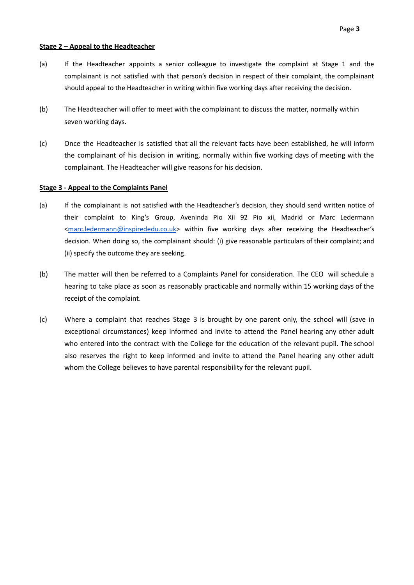#### **Stage 2 – Appeal to the Headteacher**

- (a) If the Headteacher appoints a senior colleague to investigate the complaint at Stage 1 and the complainant is not satisfied with that person's decision in respect of their complaint, the complainant should appeal to the Headteacher in writing within five working days after receiving the decision.
- (b) The Headteacher will offer to meet with the complainant to discuss the matter, normally within seven working days.
- (c) Once the Headteacher is satisfied that all the relevant facts have been established, he will inform the complainant of his decision in writing, normally within five working days of meeting with the complainant. The Headteacher will give reasons for his decision.

## **Stage 3 ‐ Appeal to the Complaints Panel**

- (a) If the complainant is not satisfied with the Headteacher's decision, they should send written notice of their complaint to King's Group, Aveninda Pio Xii 92 Pio xii, Madrid or Marc Ledermann <[marc.ledermann@inspirededu.co.uk>](mailto:marc.ledermann@inspirededu.co.uk) within five working days after receiving the Headteacher's decision. When doing so, the complainant should: (i) give reasonable particulars of their complaint; and (ii) specify the outcome they are seeking.
- (b) The matter will then be referred to a Complaints Panel for consideration. The CEO will schedule a hearing to take place as soon as reasonably practicable and normally within 15 working days of the receipt of the complaint.
- (c) Where a complaint that reaches Stage 3 is brought by one parent only, the school will (save in exceptional circumstances) keep informed and invite to attend the Panel hearing any other adult who entered into the contract with the College for the education of the relevant pupil. The school also reserves the right to keep informed and invite to attend the Panel hearing any other adult whom the College believes to have parental responsibility for the relevant pupil.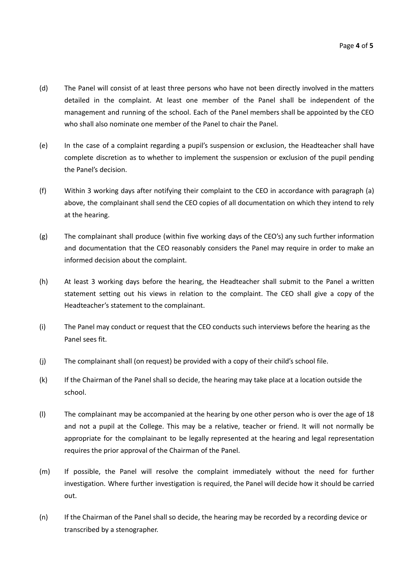- (d) The Panel will consist of at least three persons who have not been directly involved in the matters detailed in the complaint. At least one member of the Panel shall be independent of the management and running of the school. Each of the Panel members shall be appointed by the CEO who shall also nominate one member of the Panel to chair the Panel.
- (e) In the case of a complaint regarding a pupil's suspension or exclusion, the Headteacher shall have complete discretion as to whether to implement the suspension or exclusion of the pupil pending the Panel's decision.
- (f) Within 3 working days after notifying their complaint to the CEO in accordance with paragraph (a) above, the complainant shall send the CEO copies of all documentation on which they intend to rely at the hearing.
- (g) The complainant shall produce (within five working days of the CEO's) any such further information and documentation that the CEO reasonably considers the Panel may require in order to make an informed decision about the complaint.
- (h) At least 3 working days before the hearing, the Headteacher shall submit to the Panel a written statement setting out his views in relation to the complaint. The CEO shall give a copy of the Headteacher's statement to the complainant.
- (i) The Panel may conduct or request that the CEO conducts such interviews before the hearing as the Panel sees fit.
- (j) The complainant shall (on request) be provided with a copy of their child's school file.
- (k) If the Chairman of the Panel shall so decide, the hearing may take place at a location outside the school.
- (l) The complainant may be accompanied at the hearing by one other person who is over the age of 18 and not a pupil at the College. This may be a relative, teacher or friend. It will not normally be appropriate for the complainant to be legally represented at the hearing and legal representation requires the prior approval of the Chairman of the Panel.
- (m) If possible, the Panel will resolve the complaint immediately without the need for further investigation. Where further investigation is required, the Panel will decide how it should be carried out.
- (n) If the Chairman of the Panel shall so decide, the hearing may be recorded by a recording device or transcribed by a stenographer.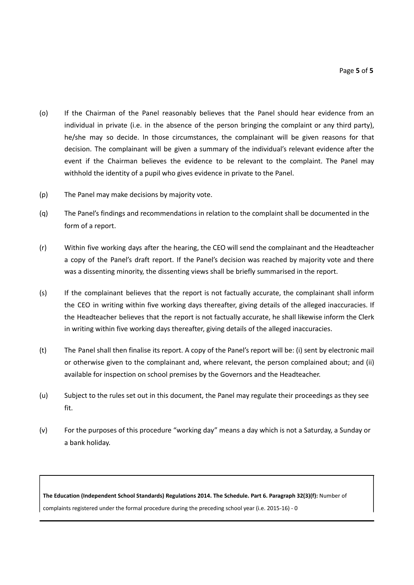- (o) If the Chairman of the Panel reasonably believes that the Panel should hear evidence from an individual in private (i.e. in the absence of the person bringing the complaint or any third party), he/she may so decide. In those circumstances, the complainant will be given reasons for that decision. The complainant will be given a summary of the individual's relevant evidence after the event if the Chairman believes the evidence to be relevant to the complaint. The Panel may withhold the identity of a pupil who gives evidence in private to the Panel.
- (p) The Panel may make decisions by majority vote.
- (q) The Panel's findings and recommendations in relation to the complaint shall be documented in the form of a report.
- (r) Within five working days after the hearing, the CEO will send the complainant and the Headteacher a copy of the Panel's draft report. If the Panel's decision was reached by majority vote and there was a dissenting minority, the dissenting views shall be briefly summarised in the report.
- (s) If the complainant believes that the report is not factually accurate, the complainant shall inform the CEO in writing within five working days thereafter, giving details of the alleged inaccuracies. If the Headteacher believes that the report is not factually accurate, he shall likewise inform the Clerk in writing within five working days thereafter, giving details of the alleged inaccuracies.
- (t) The Panel shall then finalise its report. A copy of the Panel's report will be: (i) sent by electronic mail or otherwise given to the complainant and, where relevant, the person complained about; and (ii) available for inspection on school premises by the Governors and the Headteacher.
- (u) Subject to the rules set out in this document, the Panel may regulate their proceedings as they see fit.
- (v) For the purposes of this procedure "working day" means a day which is not a Saturday, a Sunday or a bank holiday.

**The Education (Independent School Standards) Regulations 2014. The Schedule. Part 6. Paragraph 32(3)(f):** Number of complaints registered under the formal procedure during the preceding school year (i.e. 2015-16) - 0